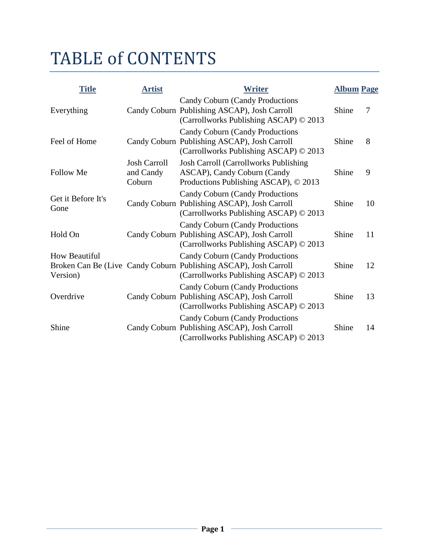# TABLE of CONTENTS

| <b>Title</b>                     | <b>Artist</b>                              | Writer                                                                                                                                               | <b>Album Page</b> |    |
|----------------------------------|--------------------------------------------|------------------------------------------------------------------------------------------------------------------------------------------------------|-------------------|----|
| Everything                       |                                            | <b>Candy Coburn (Candy Productions</b><br>Candy Coburn Publishing ASCAP), Josh Carroll<br>(Carrollworks Publishing ASCAP) © 2013                     | Shine             | 7  |
| Feel of Home                     |                                            | Candy Coburn (Candy Productions)<br>Candy Coburn Publishing ASCAP), Josh Carroll<br>(Carrollworks Publishing ASCAP) © 2013                           | Shine             | 8  |
| <b>Follow Me</b>                 | <b>Josh Carroll</b><br>and Candy<br>Coburn | <b>Josh Carroll (Carrollworks Publishing)</b><br>ASCAP), Candy Coburn (Candy<br>Productions Publishing ASCAP), © 2013                                | Shine             | 9  |
| Get it Before It's<br>Gone       |                                            | <b>Candy Coburn (Candy Productions</b><br>Candy Coburn Publishing ASCAP), Josh Carroll<br>(Carrollworks Publishing ASCAP) © 2013                     | Shine             | 10 |
| Hold On                          |                                            | Candy Coburn (Candy Productions)<br>Candy Coburn Publishing ASCAP), Josh Carroll<br>(Carrollworks Publishing ASCAP) © 2013                           | Shine             | 11 |
| <b>How Beautiful</b><br>Version) |                                            | <b>Candy Coburn (Candy Productions</b><br>Broken Can Be (Live Candy Coburn Publishing ASCAP), Josh Carroll<br>(Carrollworks Publishing ASCAP) © 2013 | Shine             | 12 |
| Overdrive                        |                                            | Candy Coburn (Candy Productions)<br>Candy Coburn Publishing ASCAP), Josh Carroll<br>(Carrollworks Publishing ASCAP) © 2013                           | Shine             | 13 |
| Shine                            |                                            | <b>Candy Coburn (Candy Productions</b><br>Candy Coburn Publishing ASCAP), Josh Carroll<br>(Carrollworks Publishing ASCAP) © 2013                     | Shine             | 14 |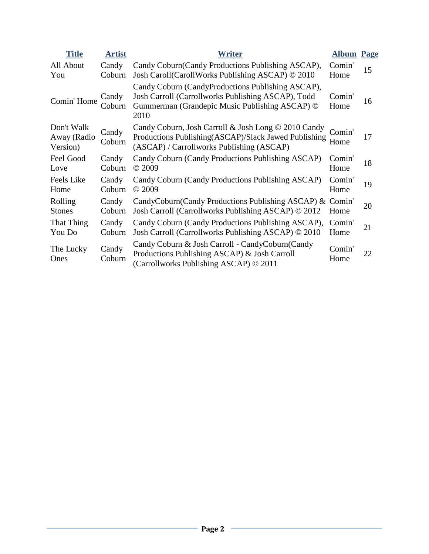| <b>Title</b>                          | <b>Artist</b>   | <b>Writer</b>                                                                                                                                                     | <b>Album</b>   | Page |
|---------------------------------------|-----------------|-------------------------------------------------------------------------------------------------------------------------------------------------------------------|----------------|------|
| All About                             | Candy           | Candy Coburn (Candy Productions Publishing ASCAP),                                                                                                                | Comin'         | 15   |
| You                                   | Coburn          | Josh Caroll (Caroll Works Publishing ASCAP) © 2010                                                                                                                | Home           |      |
| Comin' Home                           | Candy<br>Coburn | Candy Coburn (CandyProductions Publishing ASCAP),<br>Josh Carroll (Carrollworks Publishing ASCAP), Todd<br>Gummerman (Grandepic Music Publishing ASCAP) ©<br>2010 | Comin'<br>Home | 16   |
| Don't Walk<br>Away (Radio<br>Version) | Candy<br>Coburn | Candy Coburn, Josh Carroll & Josh Long © 2010 Candy<br>Productions Publishing(ASCAP)/Slack Jawed Publishing<br>(ASCAP) / Carrollworks Publishing (ASCAP)          | Comin'<br>Home | 17   |
| Feel Good                             | Candy           | Candy Coburn (Candy Productions Publishing ASCAP)                                                                                                                 | Comin'         | 18   |
| Love                                  | Coburn          | © 2009                                                                                                                                                            | Home           |      |
| Feels Like                            | Candy           | Candy Coburn (Candy Productions Publishing ASCAP)                                                                                                                 | Comin'         | 19   |
| Home                                  | Coburn          | © 2009                                                                                                                                                            | Home           |      |
| Rolling                               | Candy           | CandyCoburn(Candy Productions Publishing ASCAP) &                                                                                                                 | Comin'         | 20   |
| <b>Stones</b>                         | Coburn          | Josh Carroll (Carrollworks Publishing ASCAP) © 2012                                                                                                               | Home           |      |
| That Thing                            | Candy           | Candy Coburn (Candy Productions Publishing ASCAP),                                                                                                                | Comin'         | 21   |
| You Do                                | Coburn          | Josh Carroll (Carrollworks Publishing ASCAP) © 2010                                                                                                               | Home           |      |
| The Lucky<br>Ones                     | Candy<br>Coburn | Candy Coburn & Josh Carroll - CandyCoburn (Candy<br>Productions Publishing ASCAP) & Josh Carroll<br>(Carrollworks Publishing ASCAP) © 2011                        | Comin'<br>Home | 22   |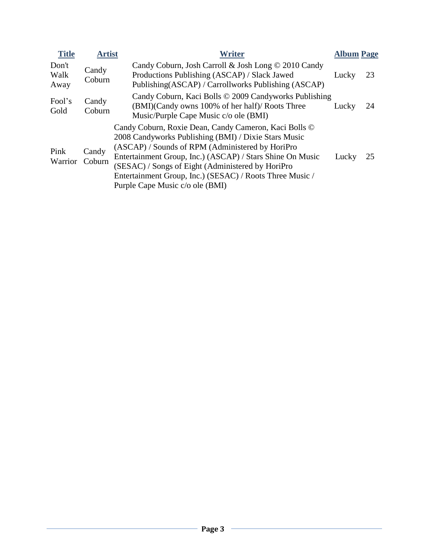| <b>Title</b>          | <b>Artist</b>   | <b>Writer</b>                                                                                                                                                                                                                                                                                                                                                                      | <b>Album Page</b> |    |
|-----------------------|-----------------|------------------------------------------------------------------------------------------------------------------------------------------------------------------------------------------------------------------------------------------------------------------------------------------------------------------------------------------------------------------------------------|-------------------|----|
| Don't<br>Walk<br>Away | Candy<br>Coburn | Candy Coburn, Josh Carroll & Josh Long © 2010 Candy<br>Productions Publishing (ASCAP) / Slack Jawed<br>Publishing (ASCAP) / Carrollworks Publishing (ASCAP)                                                                                                                                                                                                                        | Lucky             | 23 |
| Fool's<br>Gold        | Candy<br>Coburn | Candy Coburn, Kaci Bolls © 2009 Candyworks Publishing<br>(BMI)(Candy owns 100% of her half)/ Roots Three<br>Music/Purple Cape Music c/o ole (BMI)                                                                                                                                                                                                                                  | Lucky             | 24 |
| Pink<br>Warrior       | Candy<br>Coburn | Candy Coburn, Roxie Dean, Candy Cameron, Kaci Bolls ©<br>2008 Candyworks Publishing (BMI) / Dixie Stars Music<br>(ASCAP) / Sounds of RPM (Administered by HoriPro<br>Entertainment Group, Inc.) (ASCAP) / Stars Shine On Music<br>(SESAC) / Songs of Eight (Administered by HoriPro<br>Entertainment Group, Inc.) (SESAC) / Roots Three Music /<br>Purple Cape Music c/o ole (BMI) | Lucky             | 25 |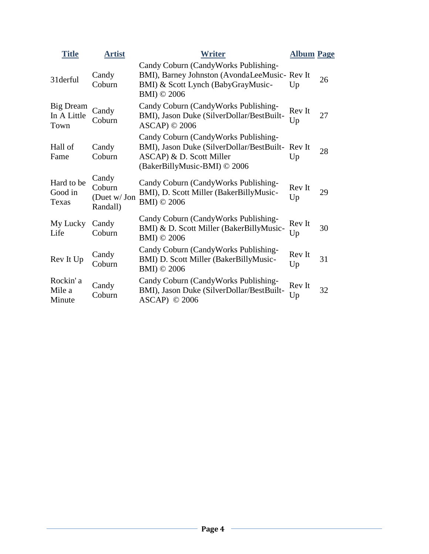| <b>Title</b>                     | <b>Artist</b>                               | <b>Writer</b>                                                                                                                                       | <b>Album Page</b> |    |
|----------------------------------|---------------------------------------------|-----------------------------------------------------------------------------------------------------------------------------------------------------|-------------------|----|
| 31derful                         | Candy<br>Coburn                             | Candy Coburn (CandyWorks Publishing-<br>BMI), Barney Johnston (AvondaLeeMusic- Rev It<br>BMI) & Scott Lynch (BabyGrayMusic-<br>BMI) © 2006          | Up                | 26 |
| Big Dream<br>In A Little<br>Town | Candy<br>Coburn                             | Candy Coburn (CandyWorks Publishing-<br>BMI), Jason Duke (SilverDollar/BestBuilt-<br>$ASCAP$ ) © 2006                                               | Rev It<br>Up      | 27 |
| Hall of<br>Fame                  | Candy<br>Coburn                             | Candy Coburn (CandyWorks Publishing-<br>BMI), Jason Duke (SilverDollar/BestBuilt-Rev It<br>ASCAP) & D. Scott Miller<br>(BakerBillyMusic-BMI) © 2006 | Up                | 28 |
| Hard to be<br>Good in<br>Texas   | Candy<br>Coburn<br>(Duet w/ Jon<br>Randall) | Candy Coburn (CandyWorks Publishing-<br>BMI), D. Scott Miller (BakerBillyMusic-<br>BMI) © 2006                                                      | Rev It<br>Up      | 29 |
| My Lucky<br>Life                 | Candy<br>Coburn                             | Candy Coburn (CandyWorks Publishing-<br>BMI) & D. Scott Miller (BakerBillyMusic-<br>BMI) © 2006                                                     | Rev It<br>Up      | 30 |
| Rev It Up                        | Candy<br>Coburn                             | Candy Coburn (CandyWorks Publishing-<br>BMI) D. Scott Miller (BakerBillyMusic-<br>BMI) © 2006                                                       | Rev It<br>Up      | 31 |
| Rockin'a<br>Mile a<br>Minute     | Candy<br>Coburn                             | Candy Coburn (CandyWorks Publishing-<br>BMI), Jason Duke (SilverDollar/BestBuilt-<br>$ASCAP)$ © 2006                                                | Rev It<br>Up      | 32 |
|                                  |                                             |                                                                                                                                                     |                   |    |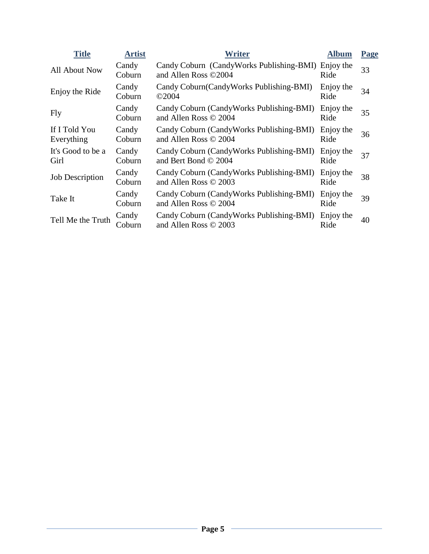| <b>Title</b>                | <b>Artist</b>   | <b>Writer</b>                                                              | <b>Album</b>      | Page |
|-----------------------------|-----------------|----------------------------------------------------------------------------|-------------------|------|
| All About Now               | Candy<br>Coburn | Candy Coburn (CandyWorks Publishing-BMI) Enjoy the<br>and Allen Ross ©2004 | Ride              | 33   |
| Enjoy the Ride              | Candy<br>Coburn | Candy Coburn (Candy Works Publishing-BMI)<br>$\odot$ 2004                  | Enjoy the<br>Ride | 34   |
| Fly                         | Candy<br>Coburn | Candy Coburn (CandyWorks Publishing-BMI)<br>and Allen Ross © 2004          | Enjoy the<br>Ride | 35   |
| If I Told You<br>Everything | Candy<br>Coburn | Candy Coburn (CandyWorks Publishing-BMI)<br>and Allen Ross © 2004          | Enjoy the<br>Ride | 36   |
| It's Good to be a<br>Girl   | Candy<br>Coburn | Candy Coburn (CandyWorks Publishing-BMI)<br>and Bert Bond $\odot$ 2004     | Enjoy the<br>Ride | 37   |
| <b>Job Description</b>      | Candy<br>Coburn | Candy Coburn (CandyWorks Publishing-BMI)<br>and Allen Ross © 2003          | Enjoy the<br>Ride | 38   |
| Take It                     | Candy<br>Coburn | Candy Coburn (CandyWorks Publishing-BMI)<br>and Allen Ross © 2004          | Enjoy the<br>Ride | 39   |
| Tell Me the Truth           | Candy<br>Coburn | Candy Coburn (CandyWorks Publishing-BMI)<br>and Allen Ross © 2003          | Enjoy the<br>Ride | 40   |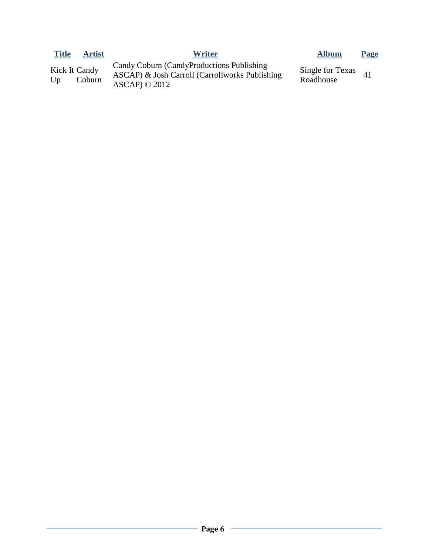| <b>Title</b> | <b>Artist</b>                  | <b>Writer</b>                                                                                                       | <b>Album</b>                  | <b>Page</b> |
|--------------|--------------------------------|---------------------------------------------------------------------------------------------------------------------|-------------------------------|-------------|
| Up           | <b>Kick It Candy</b><br>Coburn | Candy Coburn (CandyProductions Publishing)<br>ASCAP) & Josh Carroll (Carrollworks Publishing<br>$ASCAP) \odot 2012$ | Single for Texas<br>Roadhouse |             |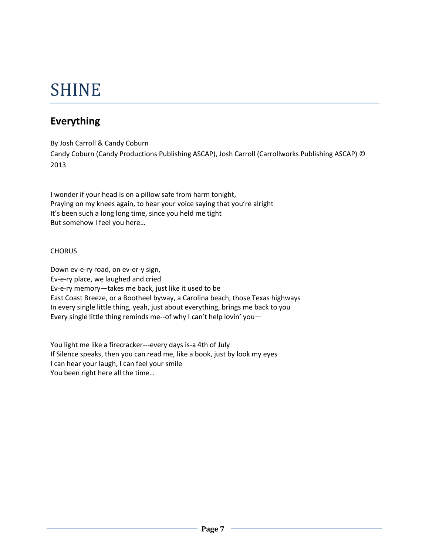# SHINE

## **Everything**

By Josh Carroll & Candy Coburn Candy Coburn (Candy Productions Publishing ASCAP), Josh Carroll (Carrollworks Publishing ASCAP) © 2013

I wonder if your head is on a pillow safe from harm tonight, Praying on my knees again, to hear your voice saying that you're alright It's been such a long long time, since you held me tight But somehow I feel you here…

#### **CHORUS**

Down ev-e-ry road, on ev-er-y sign, Ev-e-ry place, we laughed and cried Ev-e-ry memory—takes me back, just like it used to be East Coast Breeze, or a Bootheel byway, a Carolina beach, those Texas highways In every single little thing, yeah, just about everything, brings me back to you Every single little thing reminds me--of why I can't help lovin' you—

You light me like a firecracker---every days is-a 4th of July If Silence speaks, then you can read me, like a book, just by look my eyes I can hear your laugh, I can feel your smile You been right here all the time…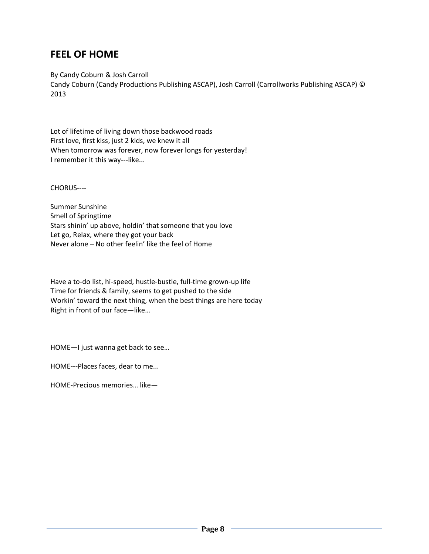### **FEEL OF HOME**

By Candy Coburn & Josh Carroll

Candy Coburn (Candy Productions Publishing ASCAP), Josh Carroll (Carrollworks Publishing ASCAP) © 2013

Lot of lifetime of living down those backwood roads First love, first kiss, just 2 kids, we knew it all When tomorrow was forever, now forever longs for yesterday! I remember it this way---like...

CHORUS----

Summer Sunshine Smell of Springtime Stars shinin' up above, holdin' that someone that you love Let go, Relax, where they got your back Never alone – No other feelin' like the feel of Home

Have a to-do list, hi-speed, hustle-bustle, full-time grown-up life Time for friends & family, seems to get pushed to the side Workin' toward the next thing, when the best things are here today Right in front of our face—like…

HOME—I just wanna get back to see…

HOME---Places faces, dear to me...

HOME-Precious memories… like—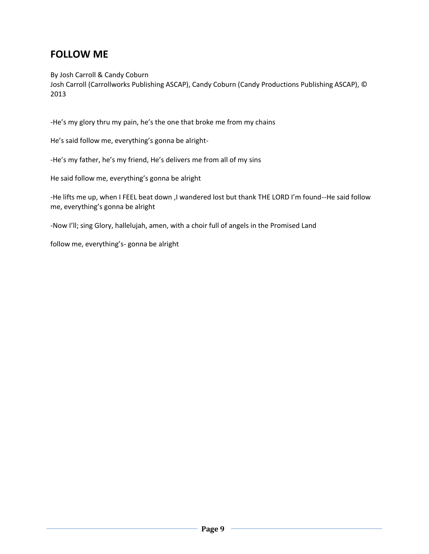## **FOLLOW ME**

By Josh Carroll & Candy Coburn

Josh Carroll (Carrollworks Publishing ASCAP), Candy Coburn (Candy Productions Publishing ASCAP), © 2013

-He's my glory thru my pain, he's the one that broke me from my chains

He's said follow me, everything's gonna be alright-

-He's my father, he's my friend, He's delivers me from all of my sins

He said follow me, everything's gonna be alright

-He lifts me up, when I FEEL beat down ,I wandered lost but thank THE LORD I'm found--He said follow me, everything's gonna be alright

-Now I'll; sing Glory, hallelujah, amen, with a choir full of angels in the Promised Land

follow me, everything's- gonna be alright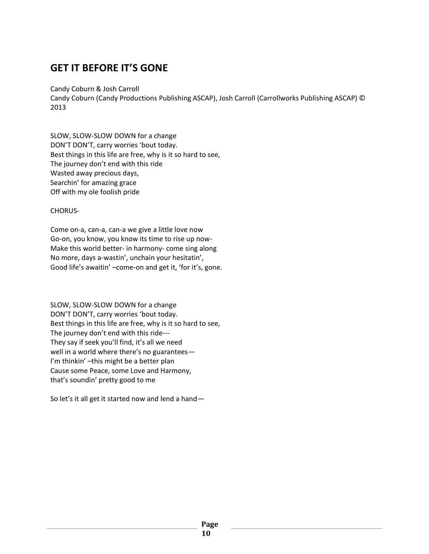### **GET IT BEFORE IT'S GONE**

Candy Coburn & Josh Carroll

Candy Coburn (Candy Productions Publishing ASCAP), Josh Carroll (Carrollworks Publishing ASCAP) © 2013

SLOW, SLOW-SLOW DOWN for a change DON'T DON'T, carry worries 'bout today. Best things in this life are free, why is it so hard to see, The journey don't end with this ride Wasted away precious days, Searchin' for amazing grace Off with my ole foolish pride

CHORUS-

Come on-a, can-a, can-a we give a little love now Go-on, you know, you know its time to rise up now-Make this world better- in harmony- come sing along No more, days a-wastin', unchain your hesitatin', Good life's awaitin' –come-on and get it, 'for it's, gone.

SLOW, SLOW-SLOW DOWN for a change DON'T DON'T, carry worries 'bout today. Best things in this life are free, why is it so hard to see, The journey don't end with this ride--- They say if seek you'll find, it's all we need well in a world where there's no guarantees— I'm thinkin' –this might be a better plan Cause some Peace, some Love and Harmony, that's soundin' pretty good to me

So let's it all get it started now and lend a hand—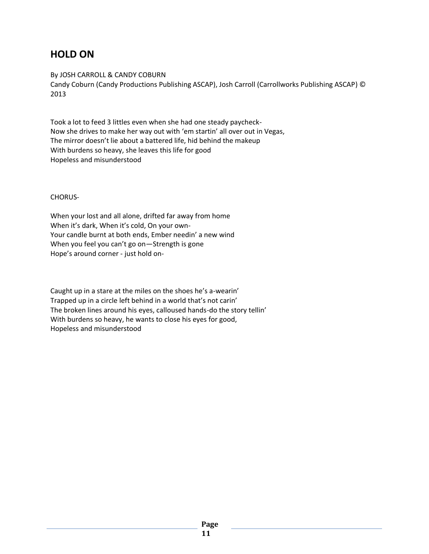### **HOLD ON**

By JOSH CARROLL & CANDY COBURN

Candy Coburn (Candy Productions Publishing ASCAP), Josh Carroll (Carrollworks Publishing ASCAP) © 2013

Took a lot to feed 3 littles even when she had one steady paycheck-Now she drives to make her way out with 'em startin' all over out in Vegas, The mirror doesn't lie about a battered life, hid behind the makeup With burdens so heavy, she leaves this life for good Hopeless and misunderstood

CHORUS-

When your lost and all alone, drifted far away from home When it's dark, When it's cold, On your own-Your candle burnt at both ends, Ember needin' a new wind When you feel you can't go on—Strength is gone Hope's around corner - just hold on-

Caught up in a stare at the miles on the shoes he's a-wearin' Trapped up in a circle left behind in a world that's not carin' The broken lines around his eyes, calloused hands-do the story tellin' With burdens so heavy, he wants to close his eyes for good, Hopeless and misunderstood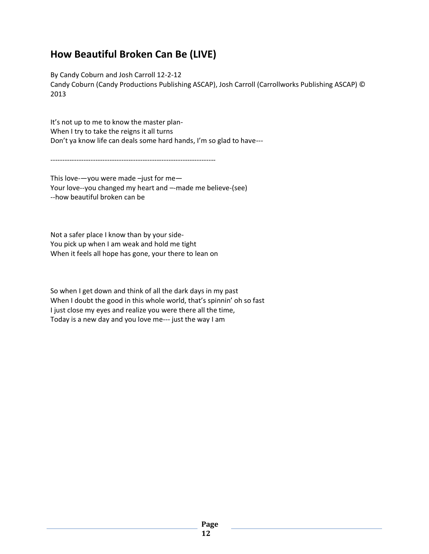## **How Beautiful Broken Can Be (LIVE)**

By Candy Coburn and Josh Carroll 12-2-12 Candy Coburn (Candy Productions Publishing ASCAP), Josh Carroll (Carrollworks Publishing ASCAP) © 2013

It's not up to me to know the master plan-When I try to take the reigns it all turns Don't ya know life can deals some hard hands, I'm so glad to have---

----------------------------------------------------------------------

This love-—you were made –just for me— Your love--you changed my heart and –-made me believe-(see) --how beautiful broken can be

Not a safer place I know than by your side-You pick up when I am weak and hold me tight When it feels all hope has gone, your there to lean on

So when I get down and think of all the dark days in my past When I doubt the good in this whole world, that's spinnin' oh so fast I just close my eyes and realize you were there all the time, Today is a new day and you love me--- just the way I am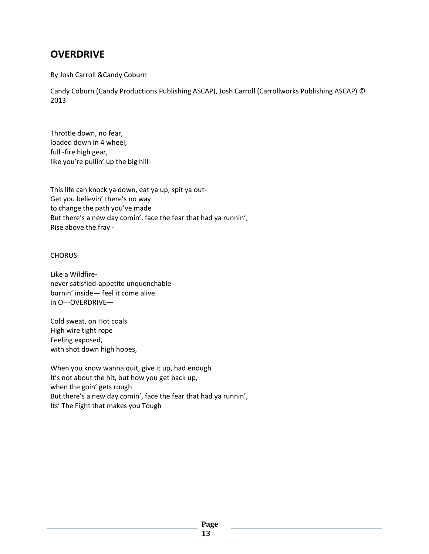### **OVERDRIVE**

By Josh Carroll &Candy Coburn

Candy Coburn (Candy Productions Publishing ASCAP), Josh Carroll (Carrollworks Publishing ASCAP) © 2013

Throttle down, no fear, loaded down in 4 wheel, full -fire high gear, like you're pullin' up the big hill-

This life can knock ya down, eat ya up, spit ya out-Get you believin' there's no way to change the path you've made But there's a new day comin', face the fear that had ya runnin', Rise above the fray -

CHORUS-

Like a Wildfirenever satisfied-appetite unquenchableburnin' inside— feel it come alive in O---OVERDRIVE—

Cold sweat, on Hot coals High wire tight rope Feeling exposed, with shot down high hopes,

When you know wanna quit, give it up, had enough It's not about the hit, but how you get back up, when the goin' gets rough But there's a new day comin', face the fear that had ya runnin', Its' The Fight that makes you Tough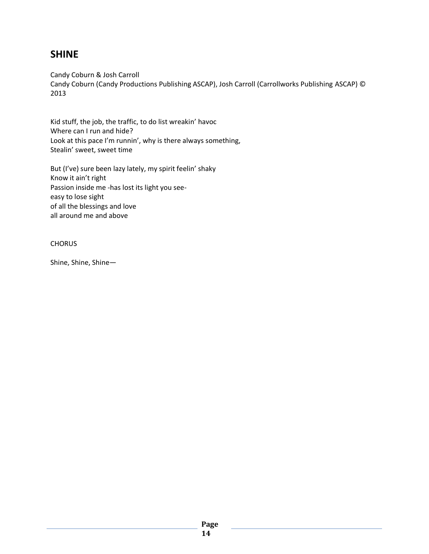#### **SHINE**

Candy Coburn & Josh Carroll Candy Coburn (Candy Productions Publishing ASCAP), Josh Carroll (Carrollworks Publishing ASCAP) © 2013

Kid stuff, the job, the traffic, to do list wreakin' havoc Where can I run and hide? Look at this pace I'm runnin', why is there always something, Stealin' sweet, sweet time

But (I've) sure been lazy lately, my spirit feelin' shaky Know it ain't right Passion inside me -has lost its light you seeeasy to lose sight of all the blessings and love all around me and above

#### **CHORUS**

Shine, Shine, Shine—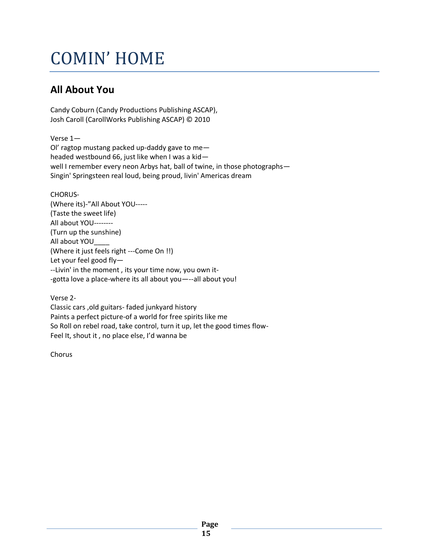# COMIN' HOME

## **All About You**

Candy Coburn (Candy Productions Publishing ASCAP), Josh Caroll (CarollWorks Publishing ASCAP) © 2010

Verse 1— Ol' ragtop mustang packed up-daddy gave to me headed westbound 66, just like when I was a kid well I remember every neon Arbys hat, ball of twine, in those photographs— Singin' Springsteen real loud, being proud, livin' Americas dream

CHORUS- (Where its)-"All About YOU----- (Taste the sweet life) All about YOU-------- (Turn up the sunshine) All about YOU\_\_\_\_ (Where it just feels right ---Come On !!) Let your feel good fly— --Livin' in the moment , its your time now, you own it- -gotta love a place-where its all about you—--all about you!

Verse 2- Classic cars ,old guitars- faded junkyard history Paints a perfect picture-of a world for free spirits like me So Roll on rebel road, take control, turn it up, let the good times flow-Feel It, shout it , no place else, I'd wanna be

Chorus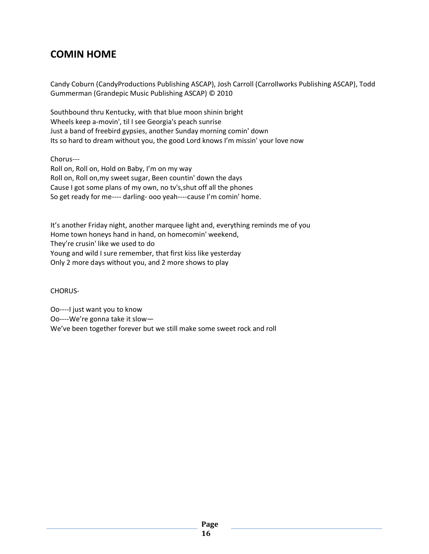## **COMIN HOME**

Candy Coburn (CandyProductions Publishing ASCAP), Josh Carroll (Carrollworks Publishing ASCAP), Todd Gummerman (Grandepic Music Publishing ASCAP) © 2010

Southbound thru Kentucky, with that blue moon shinin bright Wheels keep a-movin', til I see Georgia's peach sunrise Just a band of freebird gypsies, another Sunday morning comin' down Its so hard to dream without you, the good Lord knows I'm missin' your love now

Chorus---

Roll on, Roll on, Hold on Baby, I'm on my way Roll on, Roll on,my sweet sugar, Been countin' down the days Cause I got some plans of my own, no tv's,shut off all the phones So get ready for me---- darling- ooo yeah----cause I'm comin' home.

It's another Friday night, another marquee light and, everything reminds me of you Home town honeys hand in hand, on homecomin' weekend, They're crusin' like we used to do Young and wild I sure remember, that first kiss like yesterday Only 2 more days without you, and 2 more shows to play

CHORUS-

Oo----I just want you to know Oo----We're gonna take it slow— We've been together forever but we still make some sweet rock and roll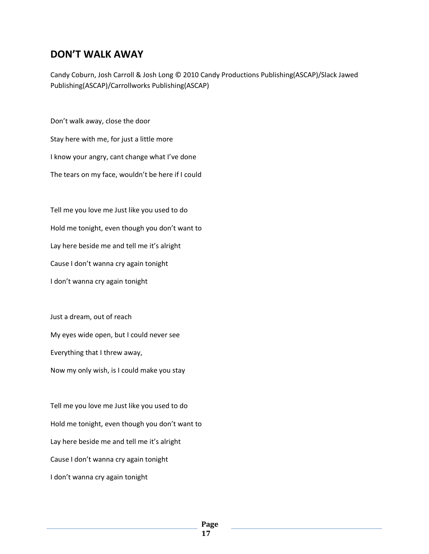#### **DON'T WALK AWAY**

Candy Coburn, Josh Carroll & Josh Long © 2010 Candy Productions Publishing(ASCAP)/Slack Jawed Publishing(ASCAP)/Carrollworks Publishing(ASCAP)

Don't walk away, close the door Stay here with me, for just a little more I know your angry, cant change what I've done The tears on my face, wouldn't be here if I could

Tell me you love me Just like you used to do Hold me tonight, even though you don't want to Lay here beside me and tell me it's alright Cause I don't wanna cry again tonight I don't wanna cry again tonight

Just a dream, out of reach My eyes wide open, but I could never see Everything that I threw away, Now my only wish, is I could make you stay

Tell me you love me Just like you used to do Hold me tonight, even though you don't want to Lay here beside me and tell me it's alright Cause I don't wanna cry again tonight I don't wanna cry again tonight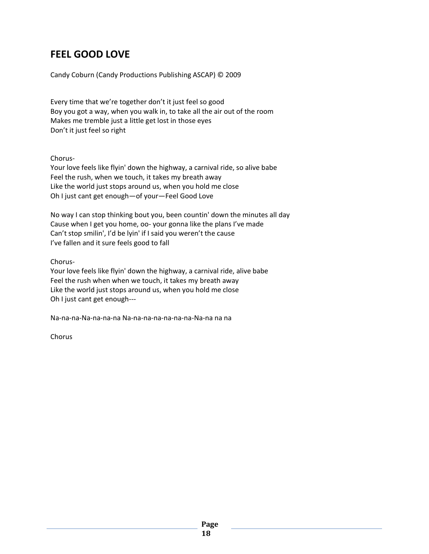### **FEEL GOOD LOVE**

Candy Coburn (Candy Productions Publishing ASCAP) © 2009

Every time that we're together don't it just feel so good Boy you got a way, when you walk in, to take all the air out of the room Makes me tremble just a little get lost in those eyes Don't it just feel so right

Chorus-

Your love feels like flyin' down the highway, a carnival ride, so alive babe Feel the rush, when we touch, it takes my breath away Like the world just stops around us, when you hold me close Oh I just cant get enough—of your—Feel Good Love

No way I can stop thinking bout you, been countin' down the minutes all day Cause when I get you home, oo- your gonna like the plans I've made Can't stop smilin', I'd be lyin' if I said you weren't the cause I've fallen and it sure feels good to fall

Chorus-

Your love feels like flyin' down the highway, a carnival ride, alive babe Feel the rush when when we touch, it takes my breath away Like the world just stops around us, when you hold me close Oh I just cant get enough---

Na-na-na-Na-na-na-na Na-na-na-na-na-na-na-Na-na na na

Chorus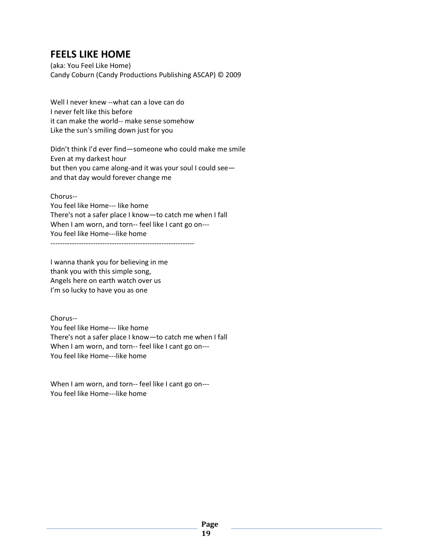### **FEELS LIKE HOME**

(aka: You Feel Like Home) Candy Coburn (Candy Productions Publishing ASCAP) © 2009

Well I never knew --what can a love can do I never felt like this before it can make the world-- make sense somehow Like the sun's smiling down just for you

Didn't think I'd ever find—someone who could make me smile Even at my darkest hour but then you came along-and it was your soul I could see and that day would forever change me

Chorus--

You feel like Home--- like home There's not a safer place I know—to catch me when I fall When I am worn, and torn-- feel like I cant go on---You feel like Home---like home -------------------------------------------------------------

I wanna thank you for believing in me thank you with this simple song, Angels here on earth watch over us I'm so lucky to have you as one

Chorus-- You feel like Home--- like home There's not a safer place I know—to catch me when I fall When I am worn, and torn-- feel like I cant go on--- You feel like Home---like home

When I am worn, and torn-- feel like I cant go on--- You feel like Home---like home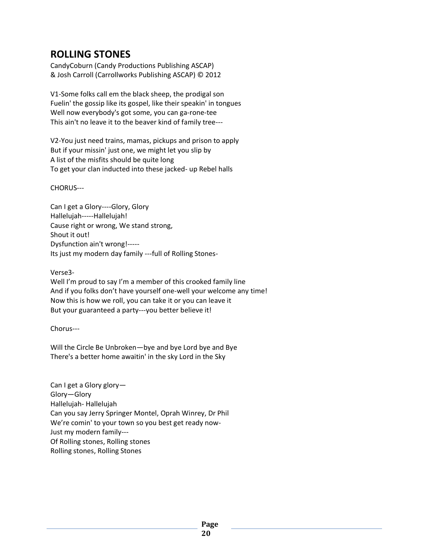### **ROLLING STONES**

CandyCoburn (Candy Productions Publishing ASCAP) & Josh Carroll (Carrollworks Publishing ASCAP) © 2012

V1-Some folks call em the black sheep, the prodigal son Fuelin' the gossip like its gospel, like their speakin' in tongues Well now everybody's got some, you can ga-rone-tee This ain't no leave it to the beaver kind of family tree---

V2-You just need trains, mamas, pickups and prison to apply But if your missin' just one, we might let you slip by A list of the misfits should be quite long To get your clan inducted into these jacked- up Rebel halls

CHORUS---

Can I get a Glory----Glory, Glory Hallelujah-----Hallelujah! Cause right or wrong, We stand strong, Shout it out! Dysfunction ain't wrong!----- Its just my modern day family ---full of Rolling Stones-

Verse3-

Well I'm proud to say I'm a member of this crooked family line And if you folks don't have yourself one-well your welcome any time! Now this is how we roll, you can take it or you can leave it But your guaranteed a party---you better believe it!

Chorus---

Will the Circle Be Unbroken—bye and bye Lord bye and Bye There's a better home awaitin' in the sky Lord in the Sky

Can I get a Glory glory— Glory—Glory Hallelujah- Hallelujah Can you say Jerry Springer Montel, Oprah Winrey, Dr Phil We're comin' to your town so you best get ready now-Just my modern family--- Of Rolling stones, Rolling stones Rolling stones, Rolling Stones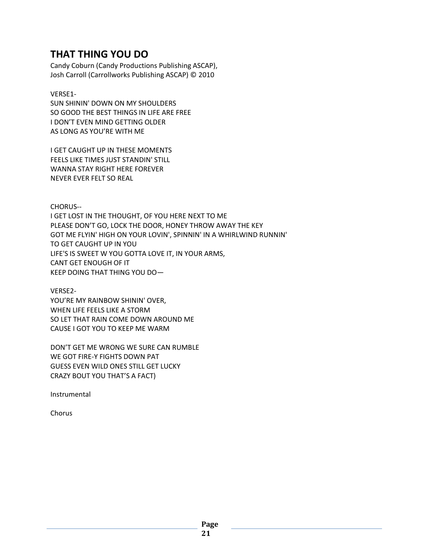## **THAT THING YOU DO**

Candy Coburn (Candy Productions Publishing ASCAP), Josh Carroll (Carrollworks Publishing ASCAP) © 2010

#### VERSE1-

SUN SHININ' DOWN ON MY SHOULDERS SO GOOD THE BEST THINGS IN LIFE ARE FREE I DON'T EVEN MIND GETTING OLDER AS LONG AS YOU'RE WITH ME

I GET CAUGHT UP IN THESE MOMENTS FEELS LIKE TIMES JUST STANDIN' STILL WANNA STAY RIGHT HERE FOREVER NEVER EVER FELT SO REAL

CHORUS--

I GET LOST IN THE THOUGHT, OF YOU HERE NEXT TO ME PLEASE DON'T GO, LOCK THE DOOR, HONEY THROW AWAY THE KEY GOT ME FLYIN' HIGH ON YOUR LOVIN', SPINNIN' IN A WHIRLWIND RUNNIN' TO GET CAUGHT UP IN YOU LIFE'S IS SWEET W YOU GOTTA LOVE IT, IN YOUR ARMS, CANT GET ENOUGH OF IT KEEP DOING THAT THING YOU DO—

VERSE2- YOU'RE MY RAINBOW SHININ' OVER, WHEN LIFE FEELS LIKE A STORM SO LET THAT RAIN COME DOWN AROUND ME CAUSE I GOT YOU TO KEEP ME WARM

DON'T GET ME WRONG WE SURE CAN RUMBLE WE GOT FIRE-Y FIGHTS DOWN PAT GUESS EVEN WILD ONES STILL GET LUCKY CRAZY BOUT YOU THAT'S A FACT)

Instrumental

Chorus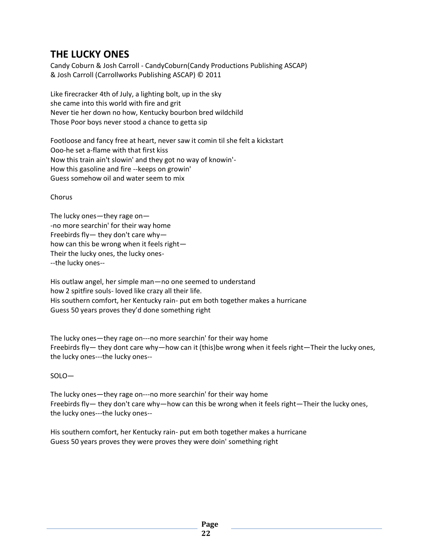## **THE LUCKY ONES**

Candy Coburn & Josh Carroll - CandyCoburn(Candy Productions Publishing ASCAP) & Josh Carroll (Carrollworks Publishing ASCAP) © 2011

Like firecracker 4th of July, a lighting bolt, up in the sky she came into this world with fire and grit Never tie her down no how, Kentucky bourbon bred wildchild Those Poor boys never stood a chance to getta sip

Footloose and fancy free at heart, never saw it comin til she felt a kickstart Ooo-he set a-flame with that first kiss Now this train ain't slowin' and they got no way of knowin'- How this gasoline and fire --keeps on growin' Guess somehow oil and water seem to mix

Chorus

The lucky ones—they rage on— -no more searchin' for their way home Freebirds fly— they don't care why how can this be wrong when it feels right— Their the lucky ones, the lucky ones- --the lucky ones--

His outlaw angel, her simple man—no one seemed to understand how 2 spitfire souls- loved like crazy all their life. His southern comfort, her Kentucky rain- put em both together makes a hurricane Guess 50 years proves they'd done something right

The lucky ones—they rage on---no more searchin' for their way home Freebirds fly— they dont care why—how can it (this)be wrong when it feels right—Their the lucky ones, the lucky ones---the lucky ones--

SOLO—

The lucky ones—they rage on---no more searchin' for their way home Freebirds fly— they don't care why—how can this be wrong when it feels right—Their the lucky ones, the lucky ones---the lucky ones--

His southern comfort, her Kentucky rain- put em both together makes a hurricane Guess 50 years proves they were proves they were doin' something right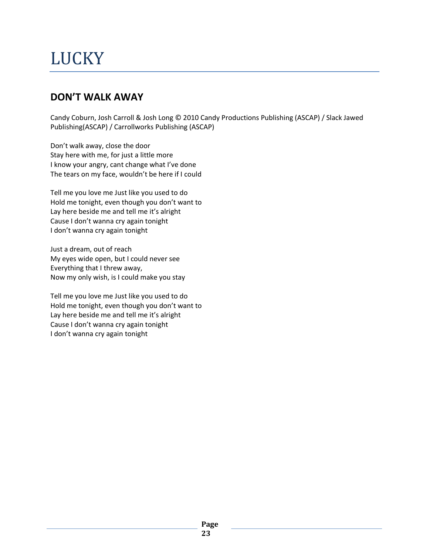# **LUCKY**

## **DON'T WALK AWAY**

Candy Coburn, Josh Carroll & Josh Long © 2010 Candy Productions Publishing (ASCAP) / Slack Jawed Publishing(ASCAP) / Carrollworks Publishing (ASCAP)

Don't walk away, close the door Stay here with me, for just a little more I know your angry, cant change what I've done The tears on my face, wouldn't be here if I could

Tell me you love me Just like you used to do Hold me tonight, even though you don't want to Lay here beside me and tell me it's alright Cause I don't wanna cry again tonight I don't wanna cry again tonight

Just a dream, out of reach My eyes wide open, but I could never see Everything that I threw away, Now my only wish, is I could make you stay

Tell me you love me Just like you used to do Hold me tonight, even though you don't want to Lay here beside me and tell me it's alright Cause I don't wanna cry again tonight I don't wanna cry again tonight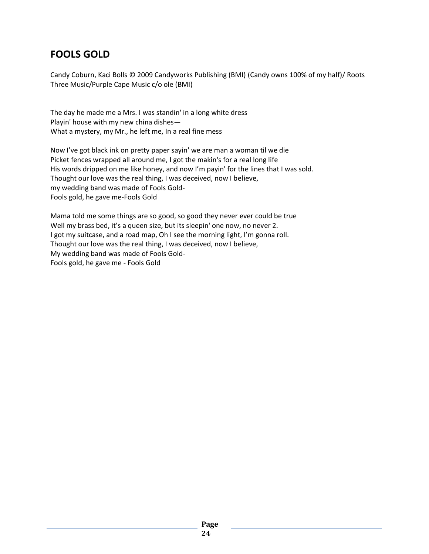## **FOOLS GOLD**

Candy Coburn, Kaci Bolls © 2009 Candyworks Publishing (BMI) (Candy owns 100% of my half)/ Roots Three Music/Purple Cape Music c/o ole (BMI)

The day he made me a Mrs. I was standin' in a long white dress Playin' house with my new china dishes— What a mystery, my Mr., he left me, In a real fine mess

Now I've got black ink on pretty paper sayin' we are man a woman til we die Picket fences wrapped all around me, I got the makin's for a real long life His words dripped on me like honey, and now I'm payin' for the lines that I was sold. Thought our love was the real thing, I was deceived, now I believe, my wedding band was made of Fools Gold-Fools gold, he gave me-Fools Gold

Mama told me some things are so good, so good they never ever could be true Well my brass bed, it's a queen size, but its sleepin' one now, no never 2. I got my suitcase, and a road map, Oh I see the morning light, I'm gonna roll. Thought our love was the real thing, I was deceived, now I believe, My wedding band was made of Fools Gold-Fools gold, he gave me - Fools Gold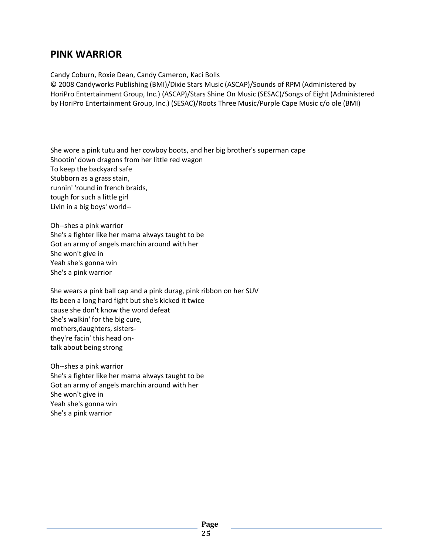#### **PINK WARRIOR**

Candy Coburn, Roxie Dean, Candy Cameron, Kaci Bolls

© 2008 Candyworks Publishing (BMI)/Dixie Stars Music (ASCAP)/Sounds of RPM (Administered by HoriPro Entertainment Group, Inc.) (ASCAP)/Stars Shine On Music (SESAC)/Songs of Eight (Administered by HoriPro Entertainment Group, Inc.) (SESAC)/Roots Three Music/Purple Cape Music c/o ole (BMI)

She wore a pink tutu and her cowboy boots, and her big brother's superman cape Shootin' down dragons from her little red wagon To keep the backyard safe Stubborn as a grass stain, runnin' 'round in french braids, tough for such a little girl Livin in a big boys' world--

Oh--shes a pink warrior She's a fighter like her mama always taught to be Got an army of angels marchin around with her She won't give in Yeah she's gonna win She's a pink warrior

She wears a pink ball cap and a pink durag, pink ribbon on her SUV Its been a long hard fight but she's kicked it twice cause she don't know the word defeat She's walkin' for the big cure, mothers,daughters, sistersthey're facin' this head ontalk about being strong

Oh--shes a pink warrior She's a fighter like her mama always taught to be Got an army of angels marchin around with her She won't give in Yeah she's gonna win She's a pink warrior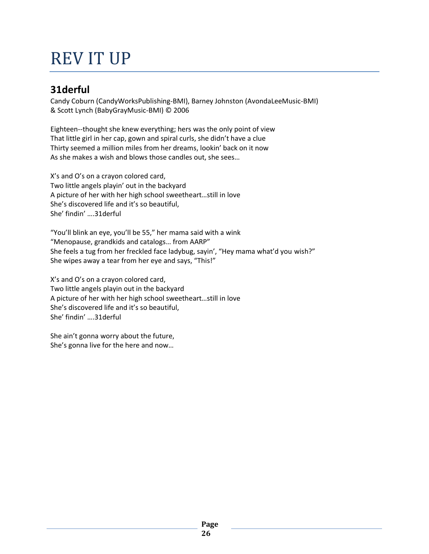# REV IT UP

## **31derful**

Candy Coburn (CandyWorksPublishing-BMI), Barney Johnston (AvondaLeeMusic-BMI) & Scott Lynch (BabyGrayMusic-BMI) © 2006

Eighteen--thought she knew everything; hers was the only point of view That little girl in her cap, gown and spiral curls, she didn't have a clue Thirty seemed a million miles from her dreams, lookin' back on it now As she makes a wish and blows those candles out, she sees…

X's and O's on a crayon colored card, Two little angels playin' out in the backyard A picture of her with her high school sweetheart…still in love She's discovered life and it's so beautiful, She' findin' ….31derful

"You'll blink an eye, you'll be 55," her mama said with a wink "Menopause, grandkids and catalogs… from AARP" She feels a tug from her freckled face ladybug, sayin', "Hey mama what'd you wish?" She wipes away a tear from her eye and says, "This!"

X's and O's on a crayon colored card, Two little angels playin out in the backyard A picture of her with her high school sweetheart…still in love She's discovered life and it's so beautiful, She' findin' ….31derful

She ain't gonna worry about the future, She's gonna live for the here and now…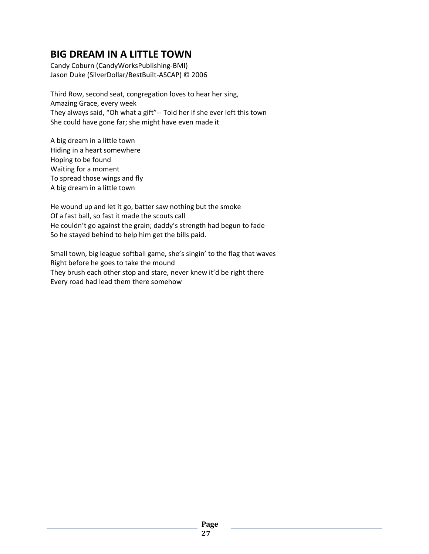## **BIG DREAM IN A LITTLE TOWN**

Candy Coburn (CandyWorksPublishing-BMI) Jason Duke (SilverDollar/BestBuilt-ASCAP) © 2006

Third Row, second seat, congregation loves to hear her sing, Amazing Grace, every week They always said, "Oh what a gift"-- Told her if she ever left this town She could have gone far; she might have even made it

A big dream in a little town Hiding in a heart somewhere Hoping to be found Waiting for a moment To spread those wings and fly A big dream in a little town

He wound up and let it go, batter saw nothing but the smoke Of a fast ball, so fast it made the scouts call He couldn't go against the grain; daddy's strength had begun to fade So he stayed behind to help him get the bills paid.

Small town, big league softball game, she's singin' to the flag that waves Right before he goes to take the mound They brush each other stop and stare, never knew it'd be right there Every road had lead them there somehow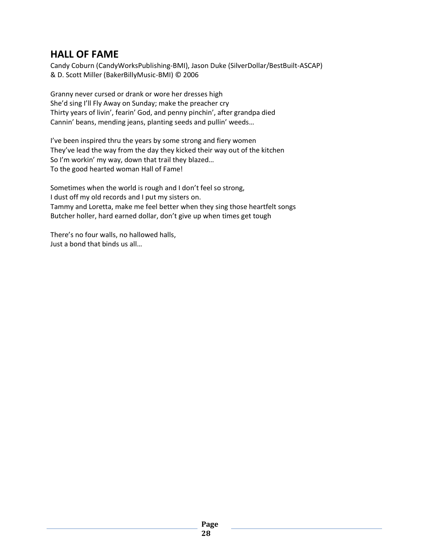### **HALL OF FAME**

Candy Coburn (CandyWorksPublishing-BMI), Jason Duke (SilverDollar/BestBuilt-ASCAP) & D. Scott Miller (BakerBillyMusic-BMI) © 2006

Granny never cursed or drank or wore her dresses high She'd sing I'll Fly Away on Sunday; make the preacher cry Thirty years of livin', fearin' God, and penny pinchin', after grandpa died Cannin' beans, mending jeans, planting seeds and pullin' weeds…

I've been inspired thru the years by some strong and fiery women They've lead the way from the day they kicked their way out of the kitchen So I'm workin' my way, down that trail they blazed… To the good hearted woman Hall of Fame!

Sometimes when the world is rough and I don't feel so strong, I dust off my old records and I put my sisters on. Tammy and Loretta, make me feel better when they sing those heartfelt songs Butcher holler, hard earned dollar, don't give up when times get tough

There's no four walls, no hallowed halls, Just a bond that binds us all…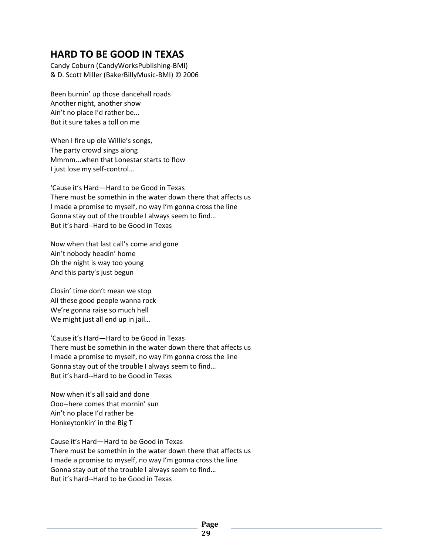### **HARD TO BE GOOD IN TEXAS**

Candy Coburn (CandyWorksPublishing-BMI) & D. Scott Miller (BakerBillyMusic-BMI) © 2006

Been burnin' up those dancehall roads Another night, another show Ain't no place I'd rather be... But it sure takes a toll on me

When I fire up ole Willie's songs, The party crowd sings along Mmmm...when that Lonestar starts to flow I just lose my self-control…

'Cause it's Hard—Hard to be Good in Texas There must be somethin in the water down there that affects us I made a promise to myself, no way I'm gonna cross the line Gonna stay out of the trouble I always seem to find… But it's hard--Hard to be Good in Texas

Now when that last call's come and gone Ain't nobody headin' home Oh the night is way too young And this party's just begun

Closin' time don't mean we stop All these good people wanna rock We're gonna raise so much hell We might just all end up in jail…

'Cause it's Hard—Hard to be Good in Texas There must be somethin in the water down there that affects us I made a promise to myself, no way I'm gonna cross the line Gonna stay out of the trouble I always seem to find… But it's hard--Hard to be Good in Texas

Now when it's all said and done Ooo--here comes that mornin' sun Ain't no place I'd rather be Honkeytonkin' in the Big T

Cause it's Hard—Hard to be Good in Texas There must be somethin in the water down there that affects us I made a promise to myself, no way I'm gonna cross the line Gonna stay out of the trouble I always seem to find… But it's hard--Hard to be Good in Texas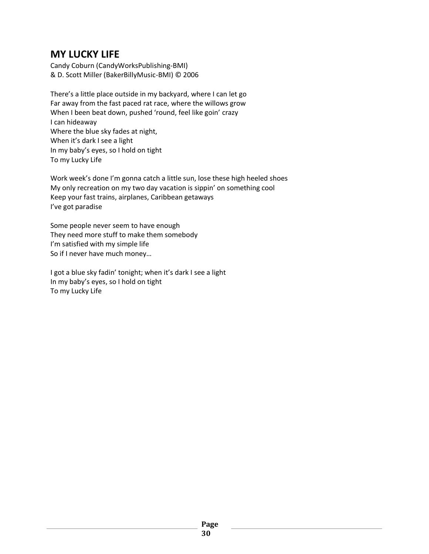#### **MY LUCKY LIFE**

Candy Coburn (CandyWorksPublishing-BMI) & D. Scott Miller (BakerBillyMusic-BMI) © 2006

There's a little place outside in my backyard, where I can let go Far away from the fast paced rat race, where the willows grow When I been beat down, pushed 'round, feel like goin' crazy I can hideaway Where the blue sky fades at night, When it's dark I see a light In my baby's eyes, so I hold on tight To my Lucky Life

Work week's done I'm gonna catch a little sun, lose these high heeled shoes My only recreation on my two day vacation is sippin' on something cool Keep your fast trains, airplanes, Caribbean getaways I've got paradise

Some people never seem to have enough They need more stuff to make them somebody I'm satisfied with my simple life So if I never have much money…

I got a blue sky fadin' tonight; when it's dark I see a light In my baby's eyes, so I hold on tight To my Lucky Life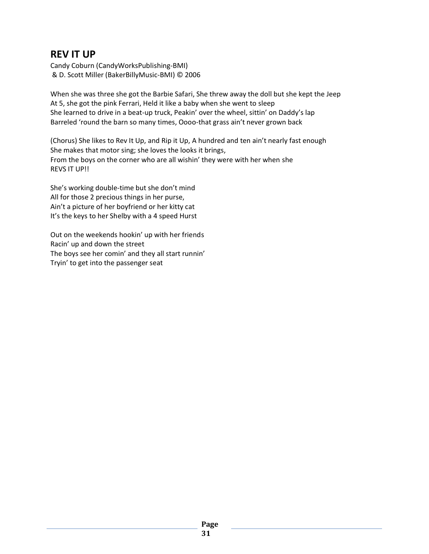### **REV IT UP**

Candy Coburn (CandyWorksPublishing-BMI) & D. Scott Miller (BakerBillyMusic-BMI) © 2006

When she was three she got the Barbie Safari, She threw away the doll but she kept the Jeep At 5, she got the pink Ferrari, Held it like a baby when she went to sleep She learned to drive in a beat-up truck, Peakin' over the wheel, sittin' on Daddy's lap Barreled 'round the barn so many times, Oooo-that grass ain't never grown back

(Chorus) She likes to Rev It Up, and Rip it Up, A hundred and ten ain't nearly fast enough She makes that motor sing; she loves the looks it brings, From the boys on the corner who are all wishin' they were with her when she REVS IT UP!!

She's working double-time but she don't mind All for those 2 precious things in her purse, Ain't a picture of her boyfriend or her kitty cat It's the keys to her Shelby with a 4 speed Hurst

Out on the weekends hookin' up with her friends Racin' up and down the street The boys see her comin' and they all start runnin' Tryin' to get into the passenger seat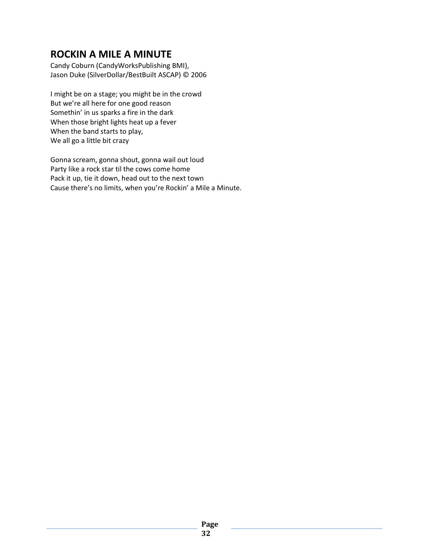## **ROCKIN A MILE A MINUTE**

Candy Coburn (CandyWorksPublishing BMI), Jason Duke (SilverDollar/BestBuilt ASCAP) © 2006

I might be on a stage; you might be in the crowd But we're all here for one good reason Somethin' in us sparks a fire in the dark When those bright lights heat up a fever When the band starts to play, We all go a little bit crazy

Gonna scream, gonna shout, gonna wail out loud Party like a rock star til the cows come home Pack it up, tie it down, head out to the next town Cause there's no limits, when you're Rockin' a Mile a Minute.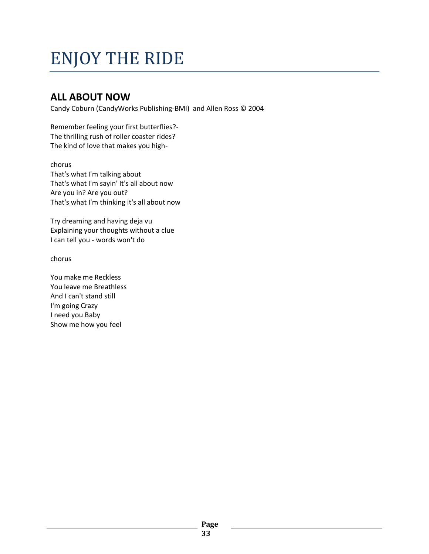# ENJOY THE RIDE

## **ALL ABOUT NOW**

Candy Coburn (CandyWorks Publishing-BMI) and Allen Ross © 2004

Remember feeling your first butterflies?- The thrilling rush of roller coaster rides? The kind of love that makes you high-

chorus That's what I'm talking about That's what I'm sayin' It's all about now Are you in? Are you out? That's what I'm thinking it's all about now

Try dreaming and having deja vu Explaining your thoughts without a clue I can tell you - words won't do

chorus

You make me Reckless You leave me Breathless And I can't stand still I'm going Crazy I need you Baby Show me how you feel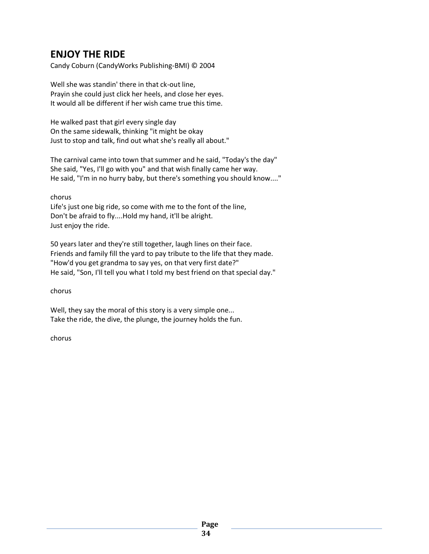## **ENJOY THE RIDE**

Candy Coburn (CandyWorks Publishing-BMI) © 2004

Well she was standin' there in that ck-out line, Prayin she could just click her heels, and close her eyes. It would all be different if her wish came true this time.

He walked past that girl every single day On the same sidewalk, thinking "it might be okay Just to stop and talk, find out what she's really all about."

The carnival came into town that summer and he said, "Today's the day" She said, "Yes, I'll go with you" and that wish finally came her way. He said, "I'm in no hurry baby, but there's something you should know...."

chorus

Life's just one big ride, so come with me to the font of the line, Don't be afraid to fly....Hold my hand, it'll be alright. Just enjoy the ride.

50 years later and they're still together, laugh lines on their face. Friends and family fill the yard to pay tribute to the life that they made. "How'd you get grandma to say yes, on that very first date?" He said, "Son, I'll tell you what I told my best friend on that special day."

chorus

Well, they say the moral of this story is a very simple one... Take the ride, the dive, the plunge, the journey holds the fun.

chorus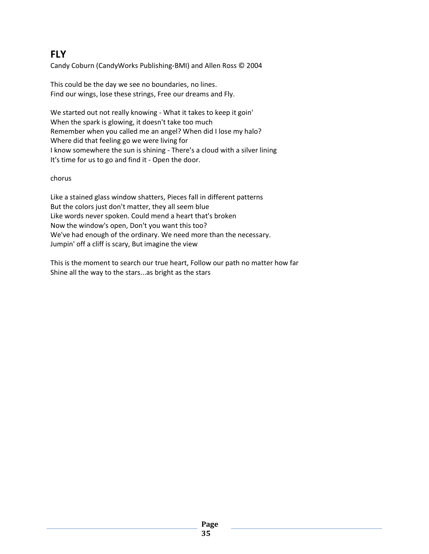## **FLY**

Candy Coburn (CandyWorks Publishing-BMI) and Allen Ross © 2004

This could be the day we see no boundaries, no lines. Find our wings, lose these strings, Free our dreams and Fly.

We started out not really knowing - What it takes to keep it goin' When the spark is glowing, it doesn't take too much Remember when you called me an angel? When did I lose my halo? Where did that feeling go we were living for I know somewhere the sun is shining - There's a cloud with a silver lining It's time for us to go and find it - Open the door.

chorus

Like a stained glass window shatters, Pieces fall in different patterns But the colors just don't matter, they all seem blue Like words never spoken. Could mend a heart that's broken Now the window's open, Don't you want this too? We've had enough of the ordinary. We need more than the necessary. Jumpin' off a cliff is scary, But imagine the view

This is the moment to search our true heart, Follow our path no matter how far Shine all the way to the stars...as bright as the stars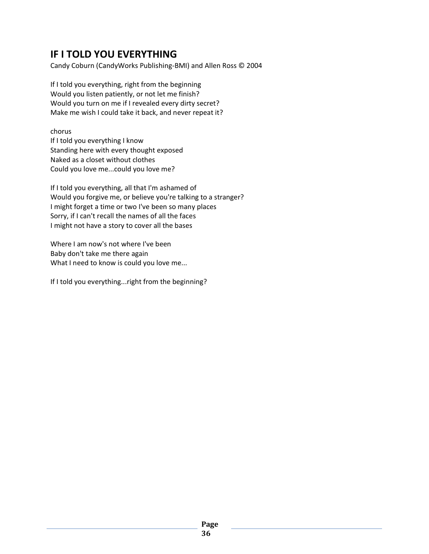## **IF I TOLD YOU EVERYTHING**

Candy Coburn (CandyWorks Publishing-BMI) and Allen Ross © 2004

If I told you everything, right from the beginning Would you listen patiently, or not let me finish? Would you turn on me if I revealed every dirty secret? Make me wish I could take it back, and never repeat it?

chorus

If I told you everything I know Standing here with every thought exposed Naked as a closet without clothes Could you love me...could you love me?

If I told you everything, all that I'm ashamed of Would you forgive me, or believe you're talking to a stranger? I might forget a time or two I've been so many places Sorry, if I can't recall the names of all the faces I might not have a story to cover all the bases

Where I am now's not where I've been Baby don't take me there again What I need to know is could you love me...

If I told you everything...right from the beginning?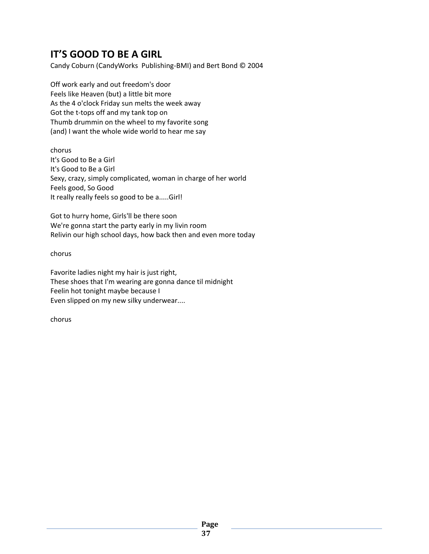## **IT'S GOOD TO BE A GIRL**

Candy Coburn (CandyWorks Publishing-BMI) and Bert Bond © 2004

Off work early and out freedom's door Feels like Heaven (but) a little bit more As the 4 o'clock Friday sun melts the week away Got the t-tops off and my tank top on Thumb drummin on the wheel to my favorite song (and) I want the whole wide world to hear me say

chorus It's Good to Be a Girl It's Good to Be a Girl Sexy, crazy, simply complicated, woman in charge of her world Feels good, So Good It really really feels so good to be a.....Girl!

Got to hurry home, Girls'll be there soon We're gonna start the party early in my livin room Relivin our high school days, how back then and even more today

chorus

Favorite ladies night my hair is just right, These shoes that I'm wearing are gonna dance til midnight Feelin hot tonight maybe because I Even slipped on my new silky underwear....

chorus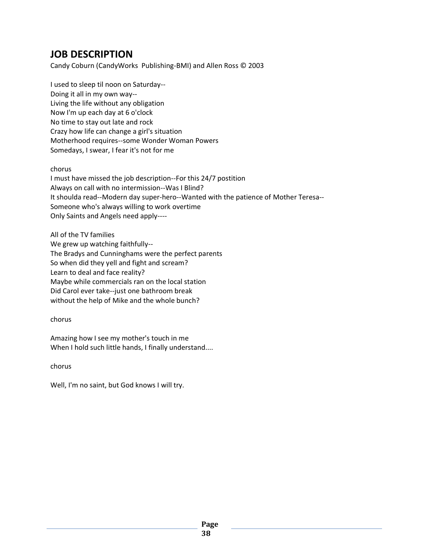## **JOB DESCRIPTION**

Candy Coburn (CandyWorks Publishing-BMI) and Allen Ross © 2003

I used to sleep til noon on Saturday-- Doing it all in my own way-- Living the life without any obligation Now I'm up each day at 6 o'clock No time to stay out late and rock Crazy how life can change a girl's situation Motherhood requires--some Wonder Woman Powers Somedays, I swear, I fear it's not for me

#### chorus

I must have missed the job description--For this 24/7 postition Always on call with no intermission--Was I Blind? It shoulda read--Modern day super-hero--Wanted with the patience of Mother Teresa-- Someone who's always willing to work overtime Only Saints and Angels need apply----

All of the TV families We grew up watching faithfully-- The Bradys and Cunninghams were the perfect parents So when did they yell and fight and scream? Learn to deal and face reality? Maybe while commercials ran on the local station Did Carol ever take--just one bathroom break without the help of Mike and the whole bunch?

#### chorus

Amazing how I see my mother's touch in me When I hold such little hands, I finally understand....

chorus

Well, I'm no saint, but God knows I will try.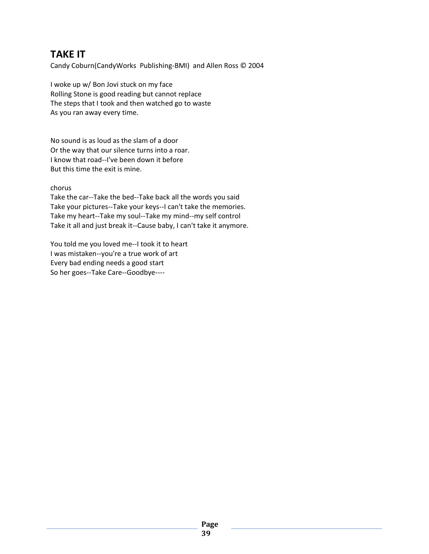## **TAKE IT**

Candy Coburn(CandyWorks Publishing-BMI) and Allen Ross © 2004

I woke up w/ Bon Jovi stuck on my face Rolling Stone is good reading but cannot replace The steps that I took and then watched go to waste As you ran away every time.

No sound is as loud as the slam of a door Or the way that our silence turns into a roar. I know that road--I've been down it before But this time the exit is mine.

#### chorus

Take the car--Take the bed--Take back all the words you said Take your pictures--Take your keys--I can't take the memories. Take my heart--Take my soul--Take my mind--my self control Take it all and just break it--Cause baby, I can't take it anymore.

You told me you loved me--I took it to heart I was mistaken--you're a true work of art Every bad ending needs a good start So her goes--Take Care--Goodbye----